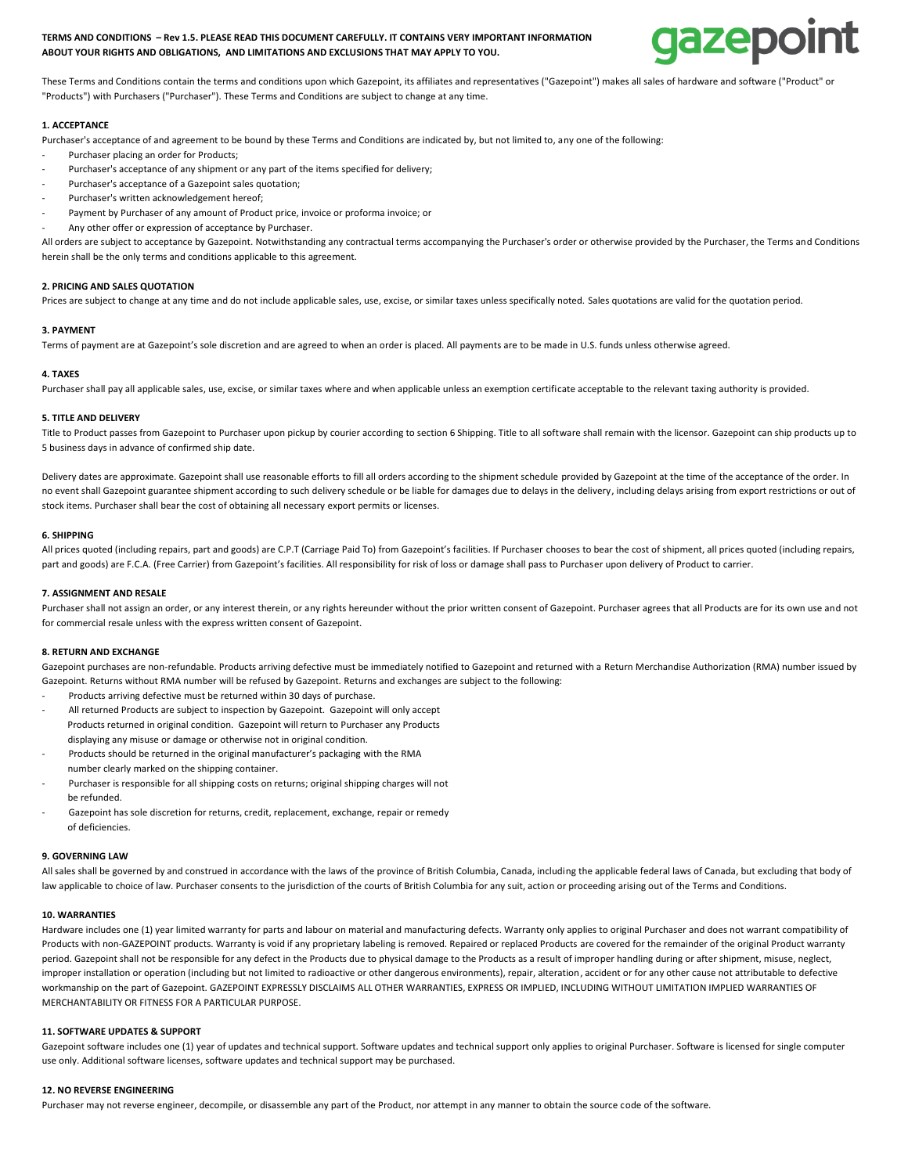# **TERMS AND CONDITIONS – Rev 1.5. PLEASE READ THIS DOCUMENT CAREFULLY. IT CONTAINS VERY IMPORTANT INFORMATION ABOUT YOUR RIGHTS AND OBLIGATIONS, AND LIMITATIONS AND EXCLUSIONS THAT MAY APPLY TO YOU.**



These Terms and Conditions contain the terms and conditions upon which Gazepoint, its affiliates and representatives ("Gazepoint") makes all sales of hardware and software ("Product" or "Products") with Purchasers ("Purchaser"). These Terms and Conditions are subject to change at any time.

# **1. ACCEPTANCE**

Purchaser's acceptance of and agreement to be bound by these Terms and Conditions are indicated by, but not limited to, any one of the following:

- Purchaser placing an order for Products:
- Purchaser's acceptance of any shipment or any part of the items specified for delivery;
- Purchaser's acceptance of a Gazepoint sales quotation;
- Purchaser's written acknowledgement hereof;
- Payment by Purchaser of any amount of Product price, invoice or proforma invoice; or
- Any other offer or expression of acceptance by Purchaser.

All orders are subject to acceptance by Gazepoint. Notwithstanding any contractual terms accompanying the Purchaser's order or otherwise provided by the Purchaser, the Terms and Conditions herein shall be the only terms and conditions applicable to this agreement.

## **2. PRICING AND SALES QUOTATION**

Prices are subject to change at any time and do not include applicable sales, use, excise, or similar taxes unless specifically noted. Sales quotations are valid for the quotation period.

## **3. PAYMENT**

Terms of payment are at Gazepoint's sole discretion and are agreed to when an order is placed. All payments are to be made in U.S. funds unless otherwise agreed.

## **4. TAXES**

Purchaser shall pay all applicable sales, use, excise, or similar taxes where and when applicable unless an exemption certificate acceptable to the relevant taxing authority is provided.

## **5. TITLE AND DELIVERY**

Title to Product passes from Gazepoint to Purchaser upon pickup by courier according to section 6 Shipping. Title to all software shall remain with the licensor. Gazepoint can ship products up to 5 business days in advance of confirmed ship date.

Delivery dates are approximate. Gazepoint shall use reasonable efforts to fill all orders according to the shipment schedule provided by Gazepoint at the time of the acceptance of the order. In no event shall Gazepoint guarantee shipment according to such delivery schedule or be liable for damages due to delays in the delivery, including delays arising from export restrictions or out of stock items. Purchaser shall bear the cost of obtaining all necessary export permits or licenses.

#### **6. SHIPPING**

All prices quoted (including repairs, part and goods) are C.P.T (Carriage Paid To) from Gazepoint's facilities. If Purchaser chooses to bear the cost of shipment, all prices quoted (including repairs, part and goods) are F.C.A. (Free Carrier) from Gazepoint's facilities. All responsibility for risk of loss or damage shall pass to Purchaser upon delivery of Product to carrier.

# **7. ASSIGNMENT AND RESALE**

Purchaser shall not assign an order, or any interest therein, or any rights hereunder without the prior written consent of Gazepoint. Purchaser agrees that all Products are for its own use and not for commercial resale unless with the express written consent of Gazepoint.

## **8. RETURN AND EXCHANGE**

Gazepoint purchases are non-refundable. Products arriving defective must be immediately notified to Gazepoint and returned with a Return Merchandise Authorization (RMA) number issued by Gazepoint. Returns without RMA number will be refused by Gazepoint. Returns and exchanges are subject to the following:

- Products arriving defective must be returned within 30 days of purchase.
- All returned Products are subject to inspection by Gazepoint. Gazepoint will only accept Products returned in original condition. Gazepoint will return to Purchaser any Products displaying any misuse or damage or otherwise not in original condition.
- Products should be returned in the original manufacturer's packaging with the RMA number clearly marked on the shipping container.
- Purchaser is responsible for all shipping costs on returns; original shipping charges will not be refunded.
- Gazepoint has sole discretion for returns, credit, replacement, exchange, repair or remedy of deficiencies.

#### **9. GOVERNING LAW**

All sales shall be governed by and construed in accordance with the laws of the province of British Columbia, Canada, including the applicable federal laws of Canada, but excluding that body of law applicable to choice of law. Purchaser consents to the jurisdiction of the courts of British Columbia for any suit, action or proceeding arising out of the Terms and Conditions.

# **10. WARRANTIES**

Hardware includes one (1) year limited warranty for parts and labour on material and manufacturing defects. Warranty only applies to original Purchaser and does not warrant compatibility of Products with non-GAZEPOINT products. Warranty is void if any proprietary labeling is removed. Repaired or replaced Products are covered for the remainder of the original Product warranty period. Gazepoint shall not be responsible for any defect in the Products due to physical damage to the Products as a result of improper handling during or after shipment, misuse, neglect, improper installation or operation (including but not limited to radioactive or other dangerous environments), repair, alteration, accident or for any other cause not attributable to defective workmanship on the part of Gazepoint. GAZEPOINT EXPRESSLY DISCLAIMS ALL OTHER WARRANTIES, EXPRESS OR IMPLIED, INCLUDING WITHOUT LIMITATION IMPLIED WARRANTIES OF MERCHANTABILITY OR FITNESS FOR A PARTICULAR PURPOSE.

#### **11. SOFTWARE UPDATES & SUPPORT**

Gazepoint software includes one (1) year of updates and technical support. Software updates and technical support only applies to original Purchaser. Software is licensed for single computer use only. Additional software licenses, software updates and technical support may be purchased.

#### **12. NO REVERSE ENGINEERING**

Purchaser may not reverse engineer, decompile, or disassemble any part of the Product, nor attempt in any manner to obtain the source code of the software.